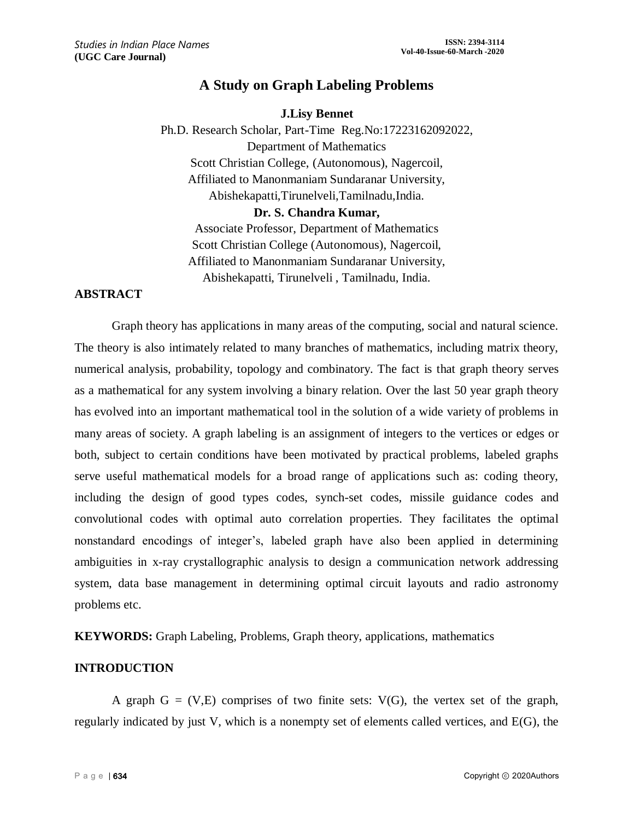# **A Study on Graph Labeling Problems**

## **J.Lisy Bennet**

Ph.D. Research Scholar, Part-Time Reg.No:17223162092022, Department of Mathematics Scott Christian College, (Autonomous), Nagercoil, Affiliated to Manonmaniam Sundaranar University, Abishekapatti,Tirunelveli,Tamilnadu,India.

#### **Dr. S. Chandra Kumar,**

Associate Professor, Department of Mathematics Scott Christian College (Autonomous), Nagercoil, Affiliated to Manonmaniam Sundaranar University, Abishekapatti, Tirunelveli , Tamilnadu, India.

## **ABSTRACT**

Graph theory has applications in many areas of the computing, social and natural science. The theory is also intimately related to many branches of mathematics, including matrix theory, numerical analysis, probability, topology and combinatory. The fact is that graph theory serves as a mathematical for any system involving a binary relation. Over the last 50 year graph theory has evolved into an important mathematical tool in the solution of a wide variety of problems in many areas of society. A graph labeling is an assignment of integers to the vertices or edges or both, subject to certain conditions have been motivated by practical problems, labeled graphs serve useful mathematical models for a broad range of applications such as: coding theory, including the design of good types codes, synch-set codes, missile guidance codes and convolutional codes with optimal auto correlation properties. They facilitates the optimal nonstandard encodings of integer's, labeled graph have also been applied in determining ambiguities in x-ray crystallographic analysis to design a communication network addressing system, data base management in determining optimal circuit layouts and radio astronomy problems etc.

**KEYWORDS:** Graph Labeling, Problems, Graph theory, applications, mathematics

## **INTRODUCTION**

A graph  $G = (V,E)$  comprises of two finite sets:  $V(G)$ , the vertex set of the graph, regularly indicated by just V, which is a nonempty set of elements called vertices, and E(G), the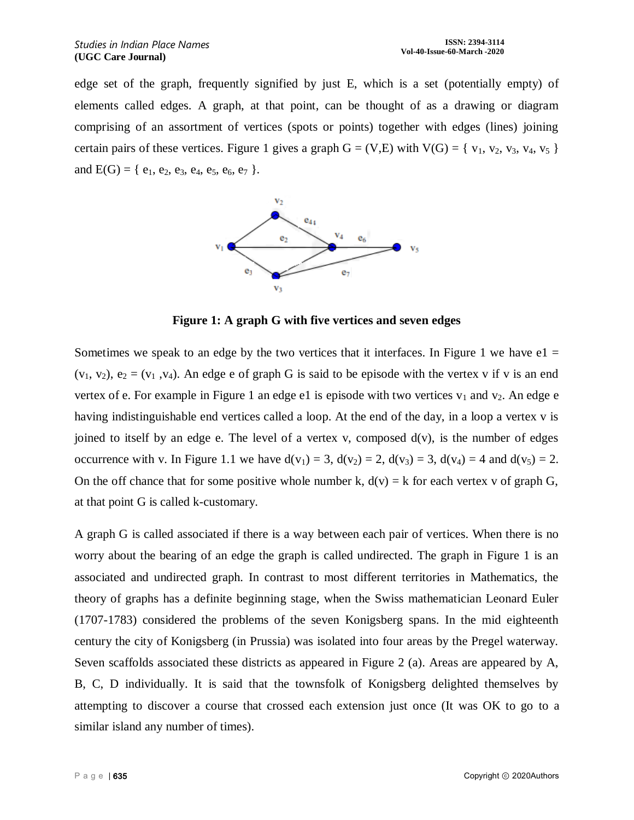edge set of the graph, frequently signified by just E, which is a set (potentially empty) of elements called edges. A graph, at that point, can be thought of as a drawing or diagram comprising of an assortment of vertices (spots or points) together with edges (lines) joining certain pairs of these vertices. Figure 1 gives a graph  $G = (V,E)$  with  $V(G) = \{v_1, v_2, v_3, v_4, v_5\}$ and  $E(G) = \{e_1, e_2, e_3, e_4, e_5, e_6, e_7\}.$ 



**Figure 1: A graph G with five vertices and seven edges**

Sometimes we speak to an edge by the two vertices that it interfaces. In Figure 1 we have  $e1 =$  $(v_1, v_2)$ ,  $e_2 = (v_1, v_4)$ . An edge e of graph G is said to be episode with the vertex v if v is an end vertex of e. For example in Figure 1 an edge e1 is episode with two vertices  $v_1$  and  $v_2$ . An edge e having indistinguishable end vertices called a loop. At the end of the day, in a loop a vertex v is joined to itself by an edge e. The level of a vertex v, composed  $d(v)$ , is the number of edges occurrence with v. In Figure 1.1 we have  $d(v_1) = 3$ ,  $d(v_2) = 2$ ,  $d(v_3) = 3$ ,  $d(v_4) = 4$  and  $d(v_5) = 2$ . On the off chance that for some positive whole number k,  $d(v) = k$  for each vertex v of graph G, at that point G is called k-customary.

A graph G is called associated if there is a way between each pair of vertices. When there is no worry about the bearing of an edge the graph is called undirected. The graph in Figure 1 is an associated and undirected graph. In contrast to most different territories in Mathematics, the theory of graphs has a definite beginning stage, when the Swiss mathematician Leonard Euler (1707-1783) considered the problems of the seven Konigsberg spans. In the mid eighteenth century the city of Konigsberg (in Prussia) was isolated into four areas by the Pregel waterway. Seven scaffolds associated these districts as appeared in Figure 2 (a). Areas are appeared by A, B, C, D individually. It is said that the townsfolk of Konigsberg delighted themselves by attempting to discover a course that crossed each extension just once (It was OK to go to a similar island any number of times).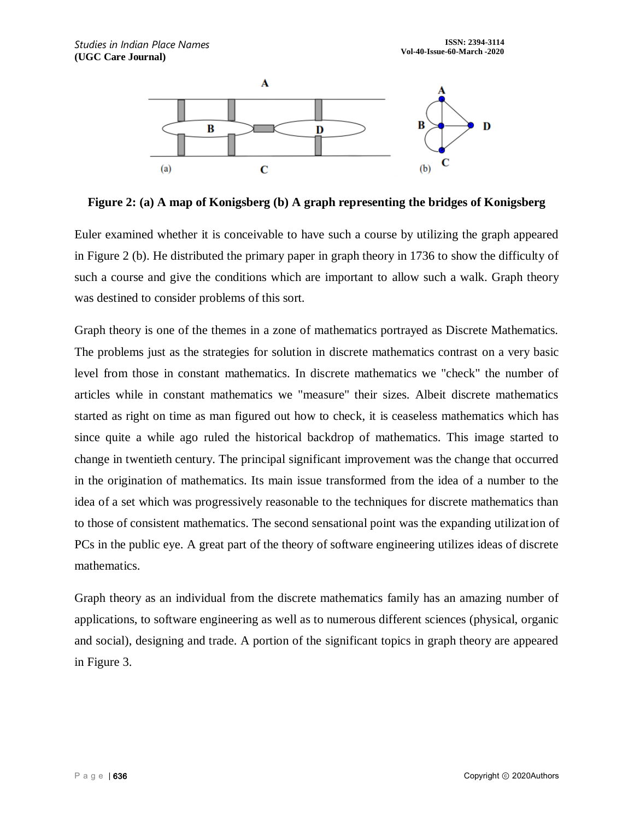

**Figure 2: (a) A map of Konigsberg (b) A graph representing the bridges of Konigsberg**

Euler examined whether it is conceivable to have such a course by utilizing the graph appeared in Figure 2 (b). He distributed the primary paper in graph theory in 1736 to show the difficulty of such a course and give the conditions which are important to allow such a walk. Graph theory was destined to consider problems of this sort.

Graph theory is one of the themes in a zone of mathematics portrayed as Discrete Mathematics. The problems just as the strategies for solution in discrete mathematics contrast on a very basic level from those in constant mathematics. In discrete mathematics we "check" the number of articles while in constant mathematics we "measure" their sizes. Albeit discrete mathematics started as right on time as man figured out how to check, it is ceaseless mathematics which has since quite a while ago ruled the historical backdrop of mathematics. This image started to change in twentieth century. The principal significant improvement was the change that occurred in the origination of mathematics. Its main issue transformed from the idea of a number to the idea of a set which was progressively reasonable to the techniques for discrete mathematics than to those of consistent mathematics. The second sensational point was the expanding utilization of PCs in the public eye. A great part of the theory of software engineering utilizes ideas of discrete mathematics.

Graph theory as an individual from the discrete mathematics family has an amazing number of applications, to software engineering as well as to numerous different sciences (physical, organic and social), designing and trade. A portion of the significant topics in graph theory are appeared in Figure 3.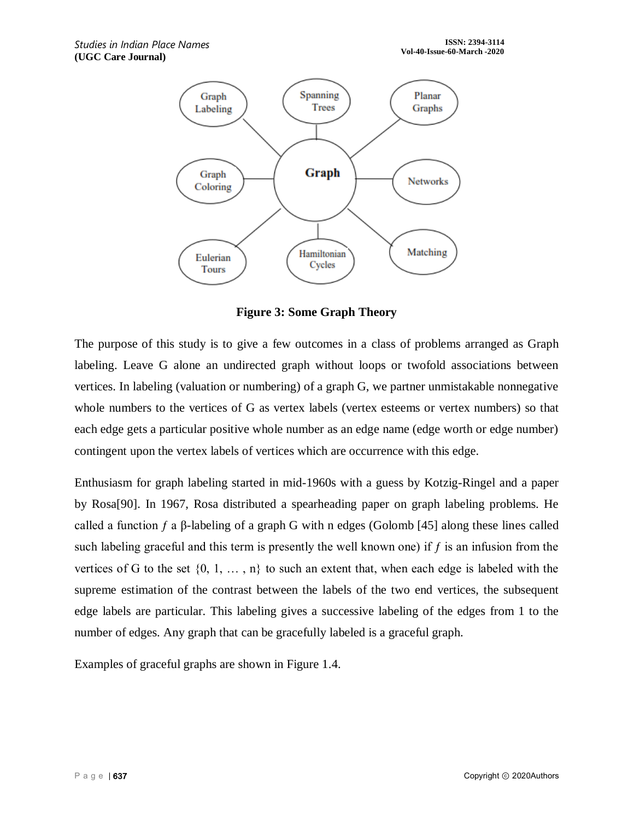

**Figure 3: Some Graph Theory**

The purpose of this study is to give a few outcomes in a class of problems arranged as Graph labeling. Leave G alone an undirected graph without loops or twofold associations between vertices. In labeling (valuation or numbering) of a graph G, we partner unmistakable nonnegative whole numbers to the vertices of G as vertex labels (vertex esteems or vertex numbers) so that each edge gets a particular positive whole number as an edge name (edge worth or edge number) contingent upon the vertex labels of vertices which are occurrence with this edge.

Enthusiasm for graph labeling started in mid-1960s with a guess by Kotzig-Ringel and a paper by Rosa[90]. In 1967, Rosa distributed a spearheading paper on graph labeling problems. He called a function  $f$  a  $\beta$ -labeling of a graph G with n edges (Golomb [45] along these lines called such labeling graceful and this term is presently the well known one) if  $f$  is an infusion from the vertices of G to the set  $\{0, 1, \ldots, n\}$  to such an extent that, when each edge is labeled with the supreme estimation of the contrast between the labels of the two end vertices, the subsequent edge labels are particular. This labeling gives a successive labeling of the edges from 1 to the number of edges. Any graph that can be gracefully labeled is a graceful graph.

Examples of graceful graphs are shown in Figure 1.4.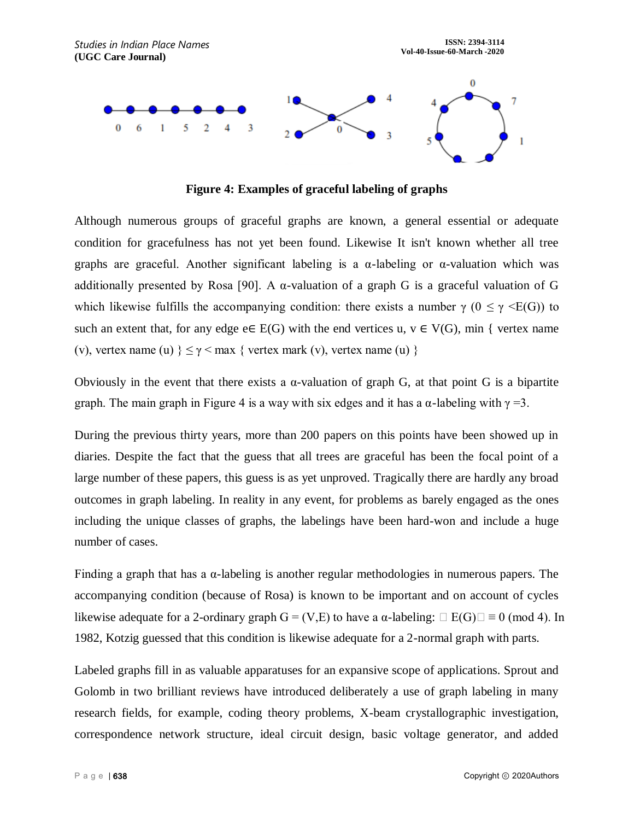

**Figure 4: Examples of graceful labeling of graphs**

Although numerous groups of graceful graphs are known, a general essential or adequate condition for gracefulness has not yet been found. Likewise It isn't known whether all tree graphs are graceful. Another significant labeling is a  $\alpha$ -labeling or  $\alpha$ -valuation which was additionally presented by Rosa [90]. A  $\alpha$ -valuation of a graph G is a graceful valuation of G which likewise fulfills the accompanying condition: there exists a number  $\gamma$  ( $0 \le \gamma \le E(G)$ ) to such an extent that, for any edge e $\in E(G)$  with the end vertices u,  $v \in V(G)$ , min { vertex name (v), vertex name (u)  $\leq \gamma \leq$  max { vertex mark (v), vertex name (u) }

Obviously in the event that there exists a  $\alpha$ -valuation of graph G, at that point G is a bipartite graph. The main graph in Figure 4 is a way with six edges and it has a  $\alpha$ -labeling with  $\gamma = 3$ .

During the previous thirty years, more than 200 papers on this points have been showed up in diaries. Despite the fact that the guess that all trees are graceful has been the focal point of a large number of these papers, this guess is as yet unproved. Tragically there are hardly any broad outcomes in graph labeling. In reality in any event, for problems as barely engaged as the ones including the unique classes of graphs, the labelings have been hard-won and include a huge number of cases.

Finding a graph that has a  $\alpha$ -labeling is another regular methodologies in numerous papers. The accompanying condition (because of Rosa) is known to be important and on account of cycles likewise adequate for a 2-ordinary graph  $G = (V,E)$  to have a  $\alpha$ -labeling:  $\Box E(G) \Box \equiv 0 \pmod{4}$ . In 1982, Kotzig guessed that this condition is likewise adequate for a 2-normal graph with parts.

Labeled graphs fill in as valuable apparatuses for an expansive scope of applications. Sprout and Golomb in two brilliant reviews have introduced deliberately a use of graph labeling in many research fields, for example, coding theory problems, X-beam crystallographic investigation, correspondence network structure, ideal circuit design, basic voltage generator, and added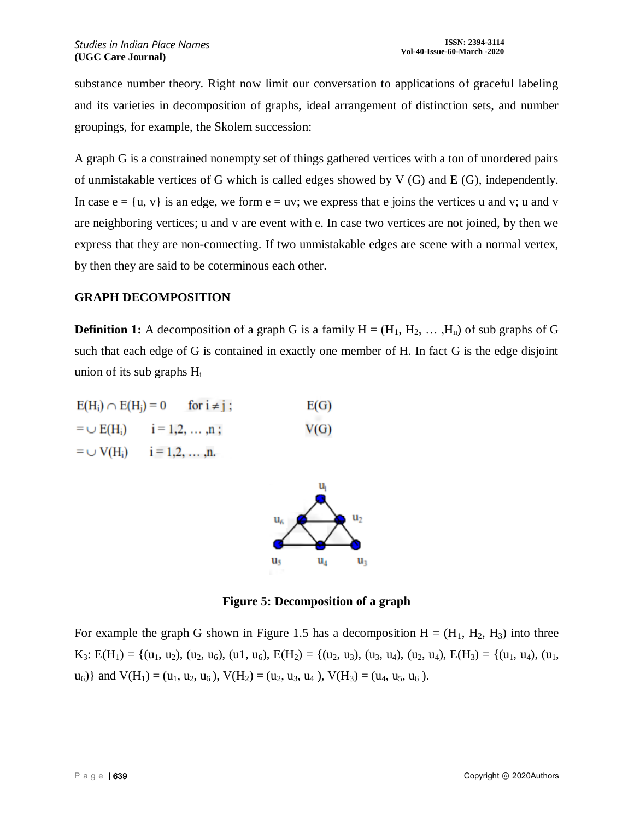substance number theory. Right now limit our conversation to applications of graceful labeling and its varieties in decomposition of graphs, ideal arrangement of distinction sets, and number groupings, for example, the Skolem succession:

A graph G is a constrained nonempty set of things gathered vertices with a ton of unordered pairs of unmistakable vertices of G which is called edges showed by V (G) and E (G), independently. In case  $e = \{u, v\}$  is an edge, we form  $e = uv$ ; we express that e joins the vertices u and v; u and v are neighboring vertices; u and v are event with e. In case two vertices are not joined, by then we express that they are non-connecting. If two unmistakable edges are scene with a normal vertex, by then they are said to be coterminous each other.

#### **GRAPH DECOMPOSITION**

**Definition 1:** A decomposition of a graph G is a family  $H = (H_1, H_2, \dots, H_n)$  of sub graphs of G such that each edge of G is contained in exactly one member of H. In fact G is the edge disjoint union of its sub graphs H<sup>i</sup>

| $E(H_i) \cap E(H_i) = 0$ | for $i \neq j$ ;                                | E(G) |
|--------------------------|-------------------------------------------------|------|
|                          | $=$ $\cup$ E(H <sub>i</sub> ) $i = 1, 2, , n;$  | V(G) |
|                          | $=$ $\cup$ V(H <sub>i</sub> ) $i = 1, 2, , n$ . |      |



**Figure 5: Decomposition of a graph**

For example the graph G shown in Figure 1.5 has a decomposition  $H = (H_1, H_2, H_3)$  into three K<sub>3</sub>: E(H<sub>1</sub>) = {(u<sub>1</sub>, u<sub>2</sub>), (u<sub>2</sub>, u<sub>6</sub>), (u1, u<sub>6</sub>), E(H<sub>2</sub>) = {(u<sub>2</sub>, u<sub>3</sub>), (u<sub>3</sub>, u<sub>4</sub>), (u<sub>2</sub>, u<sub>4</sub>), E(H<sub>3</sub>) = {(u<sub>1</sub>, u<sub>4</sub>), (u<sub>1</sub>,  $u_6$ } and  $V(H_1) = (u_1, u_2, u_6)$ ,  $V(H_2) = (u_2, u_3, u_4)$ ,  $V(H_3) = (u_4, u_5, u_6)$ .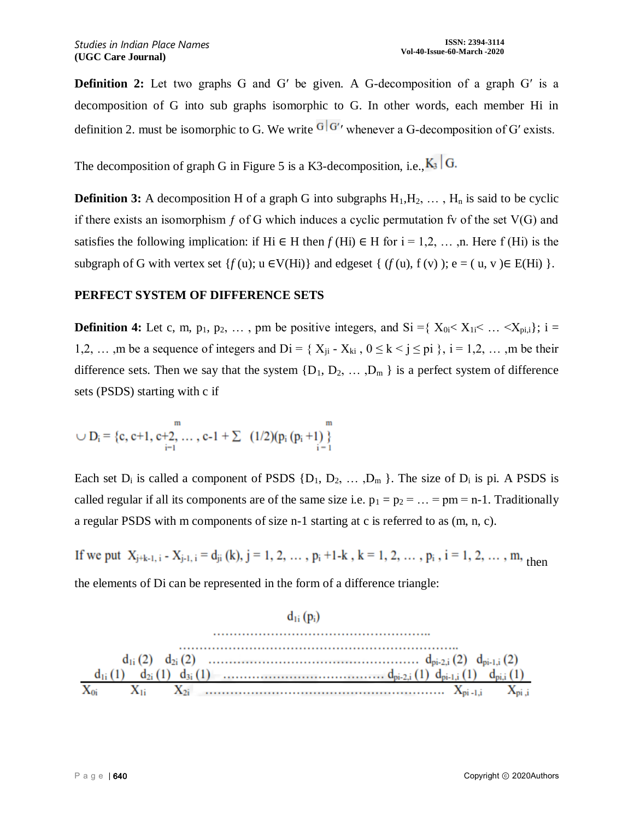**Definition 2:** Let two graphs G and G' be given. A G-decomposition of a graph G' is a decomposition of G into sub graphs isomorphic to G. In other words, each member Hi in definition 2. must be isomorphic to G. We write  $\frac{G|G'}{G'}$  whenever a G-decomposition of G' exists.

The decomposition of graph G in Figure 5 is a K3-decomposition, i.e.,  $K_3 |G$ .

**Definition 3:** A decomposition H of a graph G into subgraphs  $H_1, H_2, \ldots, H_n$  is said to be cyclic if there exists an isomorphism  $f$  of G which induces a cyclic permutation fv of the set  $V(G)$  and satisfies the following implication: if Hi  $\in$  H then  $f$  (Hi)  $\in$  H for i = 1,2, ..., n. Here f (Hi) is the subgraph of G with vertex set  $\{f(u); u \in V(Hi)\}$  and edgeset  $\{(f(u), f(v)); e = (u, v) \in E(Hi)\}$ .

#### **PERFECT SYSTEM OF DIFFERENCE SETS**

**Definition 4:** Let c, m,  $p_1$ ,  $p_2$ , ..., pm be positive integers, and Si ={ $X_{0i} < X_{1i} < ... < X_{pi,i}$ }; i = 1,2, …, m be a sequence of integers and  $Di = \{X_{ii} - X_{ki}, 0 \le k \le j \le pi\}$ ,  $i = 1, 2, \ldots$ , m be their difference sets. Then we say that the system  $\{D_1, D_2, \ldots, D_m\}$  is a perfect system of difference sets (PSDS) starting with c if

$$
\cup D_i = \{c, c+1, c+2, \ldots, c-1+\sum_{i=1}^m \left(1/2\right) (p_i (p_i+1))\}
$$

Each set  $D_i$  is called a component of PSDS  $\{D_1, D_2, \ldots, D_m\}$ . The size of  $D_i$  is pi. A PSDS is called regular if all its components are of the same size i.e.  $p_1 = p_2 = ... = pm = n-1$ . Traditionally a regular PSDS with m components of size n-1 starting at c is referred to as (m, n, c).

If we put  $X_{j+k-1, i} - X_{j-1, i} = d_{ji}(k)$ ,  $j = 1, 2, ..., p_i + 1 - k$ ,  $k = 1, 2, ..., p_i$ ,  $i = 1, 2, ..., m$ , then the elements of Di can be represented in the form of a difference triangle:

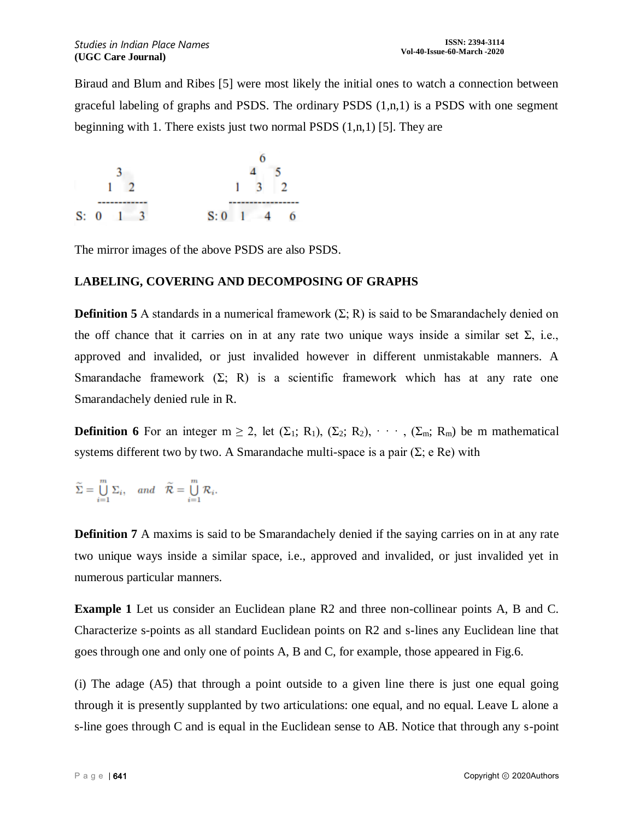Biraud and Blum and Ribes [5] were most likely the initial ones to watch a connection between graceful labeling of graphs and PSDS. The ordinary PSDS  $(1,n,1)$  is a PSDS with one segment beginning with 1. There exists just two normal PSDS  $(1, n, 1)$  [5]. They are



The mirror images of the above PSDS are also PSDS.

## **LABELING, COVERING AND DECOMPOSING OF GRAPHS**

**Definition 5** A standards in a numerical framework  $(\Sigma; R)$  is said to be Smarandachely denied on the off chance that it carries on in at any rate two unique ways inside a similar set  $\Sigma$ , i.e., approved and invalided, or just invalided however in different unmistakable manners. A Smarandache framework  $(\Sigma; R)$  is a scientific framework which has at any rate one Smarandachely denied rule in R.

**Definition 6** For an integer  $m \ge 2$ , let  $(\Sigma_1; R_1)$ ,  $(\Sigma_2; R_2)$ ,  $\cdots$ ,  $(\Sigma_m; R_m)$  be m mathematical systems different two by two. A Smarandache multi-space is a pair  $(\Sigma; e \text{ Re})$  with

$$
\widetilde{\Sigma} = \bigcup_{i=1}^{m} \Sigma_i, \quad and \quad \widetilde{\mathcal{R}} = \bigcup_{i=1}^{m} \mathcal{R}_i.
$$

**Definition 7** A maxims is said to be Smarandachely denied if the saying carries on in at any rate two unique ways inside a similar space, i.e., approved and invalided, or just invalided yet in numerous particular manners.

**Example 1** Let us consider an Euclidean plane R2 and three non-collinear points A, B and C. Characterize s-points as all standard Euclidean points on R2 and s-lines any Euclidean line that goes through one and only one of points A, B and C, for example, those appeared in Fig.6.

(i) The adage (A5) that through a point outside to a given line there is just one equal going through it is presently supplanted by two articulations: one equal, and no equal. Leave L alone a s-line goes through C and is equal in the Euclidean sense to AB. Notice that through any s-point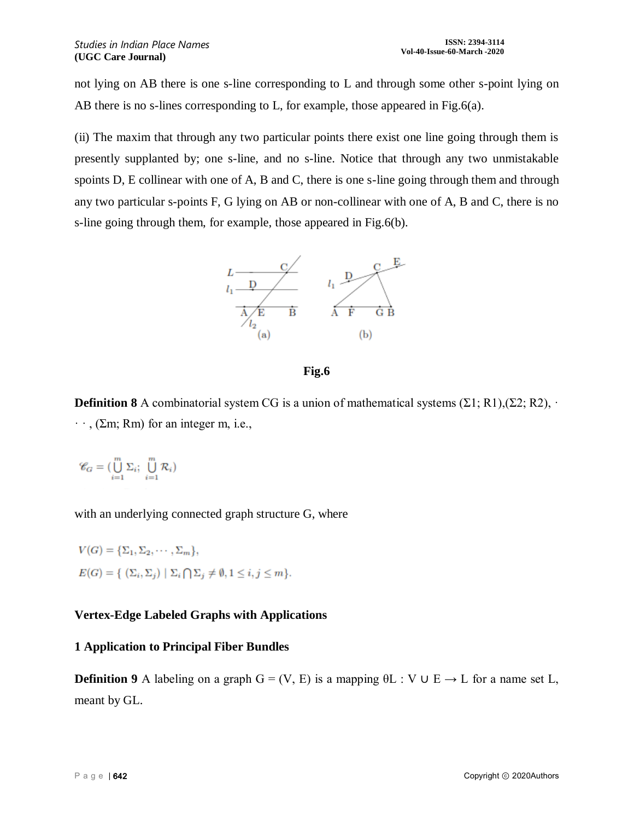not lying on AB there is one s-line corresponding to L and through some other s-point lying on AB there is no s-lines corresponding to L, for example, those appeared in Fig.6(a).

(ii) The maxim that through any two particular points there exist one line going through them is presently supplanted by; one s-line, and no s-line. Notice that through any two unmistakable spoints D, E collinear with one of A, B and C, there is one s-line going through them and through any two particular s-points F, G lying on AB or non-collinear with one of A, B and C, there is no s-line going through them, for example, those appeared in Fig.6(b).



**Fig.6**

**Definition 8** A combinatorial system CG is a union of mathematical systems  $(\Sigma 1; R1), (\Sigma 2; R2), \cdot$  $\cdot$ , (Σm; Rm) for an integer m, i.e.,

 $\mathscr{C}_G = \bigl( \bigcup_{i=1}^m \Sigma_i; \bigcup_{i=1}^m \mathcal{R}_i \bigr)$ 

with an underlying connected graph structure G, where

$$
V(G) = {\Sigma_1, \Sigma_2, \cdots, \Sigma_m},
$$
  

$$
E(G) = {\ \ (\Sigma_i, \Sigma_j) \mid \Sigma_i \bigcap \Sigma_j \neq \emptyset, 1 \leq i, j \leq m \}.
$$

## **Vertex-Edge Labeled Graphs with Applications**

## **1 Application to Principal Fiber Bundles**

**Definition 9** A labeling on a graph  $G = (V, E)$  is a mapping  $\theta L : V \cup E \rightarrow L$  for a name set L, meant by GL.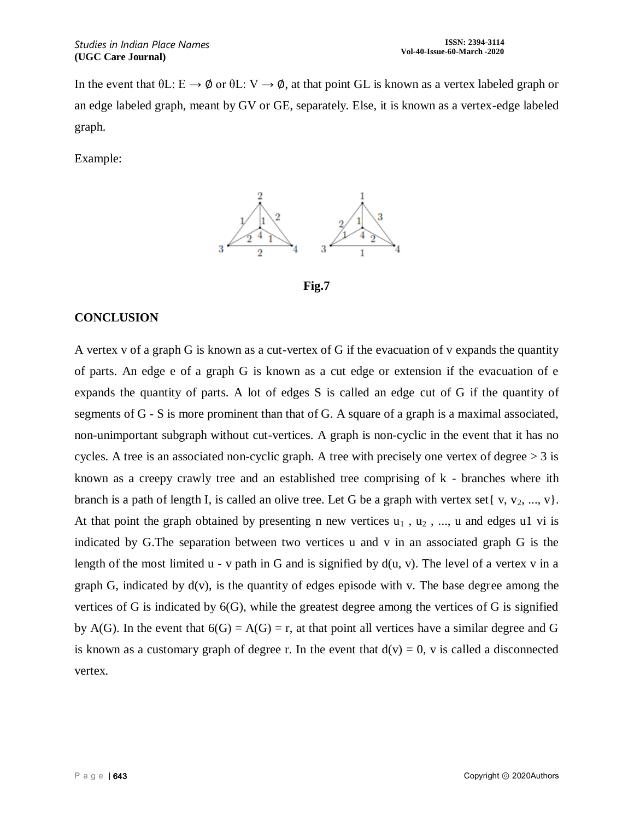In the event that  $\theta L: E \to \phi$  or  $\theta L: V \to \phi$ , at that point GL is known as a vertex labeled graph or an edge labeled graph, meant by GV or GE, separately. Else, it is known as a vertex-edge labeled graph.

Example:



**Fig.7**

## **CONCLUSION**

A vertex v of a graph G is known as a cut-vertex of G if the evacuation of v expands the quantity of parts. An edge e of a graph G is known as a cut edge or extension if the evacuation of e expands the quantity of parts. A lot of edges S is called an edge cut of G if the quantity of segments of G - S is more prominent than that of G. A square of a graph is a maximal associated, non-unimportant subgraph without cut-vertices. A graph is non-cyclic in the event that it has no cycles. A tree is an associated non-cyclic graph. A tree with precisely one vertex of degree  $> 3$  is known as a creepy crawly tree and an established tree comprising of k - branches where ith branch is a path of length I, is called an olive tree. Let G be a graph with vertex set  $\{v, v_2, ..., v\}$ . At that point the graph obtained by presenting n new vertices  $u_1$ ,  $u_2$ , ..., u and edges u1 vi is indicated by G.The separation between two vertices u and v in an associated graph G is the length of the most limited  $u - v$  path in G and is signified by  $d(u, v)$ . The level of a vertex v in a graph G, indicated by  $d(v)$ , is the quantity of edges episode with v. The base degree among the vertices of G is indicated by  $6(G)$ , while the greatest degree among the vertices of G is signified by A(G). In the event that  $6(G) = A(G) = r$ , at that point all vertices have a similar degree and G is known as a customary graph of degree r. In the event that  $d(v) = 0$ , v is called a disconnected vertex.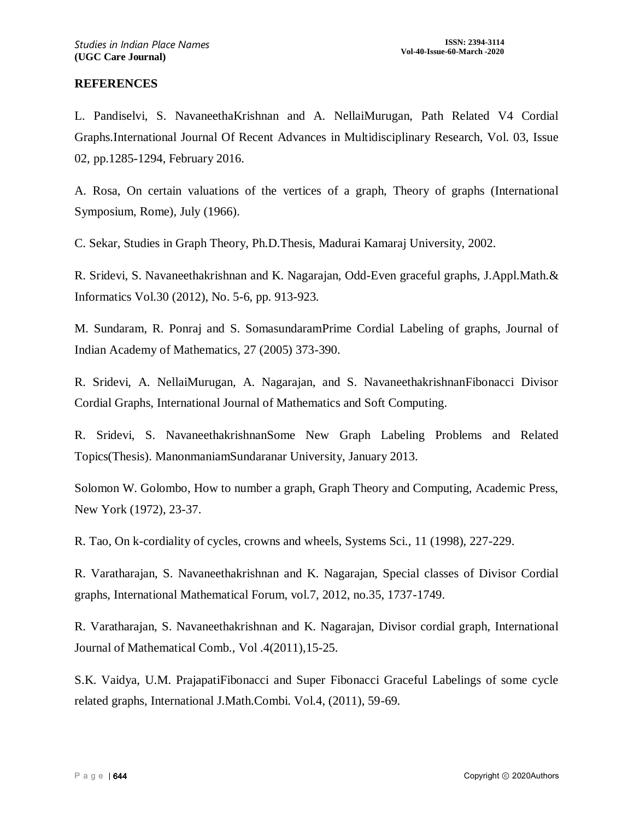### **REFERENCES**

L. Pandiselvi, S. NavaneethaKrishnan and A. NellaiMurugan, Path Related V4 Cordial Graphs.International Journal Of Recent Advances in Multidisciplinary Research, Vol. 03, Issue 02, pp.1285-1294, February 2016.

A. Rosa, On certain valuations of the vertices of a graph, Theory of graphs (International Symposium, Rome), July (1966).

C. Sekar, Studies in Graph Theory, Ph.D.Thesis, Madurai Kamaraj University, 2002.

R. Sridevi, S. Navaneethakrishnan and K. Nagarajan, Odd-Even graceful graphs, J.Appl.Math.& Informatics Vol.30 (2012), No. 5-6, pp. 913-923.

M. Sundaram, R. Ponraj and S. SomasundaramPrime Cordial Labeling of graphs, Journal of Indian Academy of Mathematics, 27 (2005) 373-390.

R. Sridevi, A. NellaiMurugan, A. Nagarajan, and S. NavaneethakrishnanFibonacci Divisor Cordial Graphs, International Journal of Mathematics and Soft Computing.

R. Sridevi, S. NavaneethakrishnanSome New Graph Labeling Problems and Related Topics(Thesis). ManonmaniamSundaranar University, January 2013.

Solomon W. Golombo, How to number a graph, Graph Theory and Computing, Academic Press, New York (1972), 23-37.

R. Tao, On k-cordiality of cycles, crowns and wheels, Systems Sci., 11 (1998), 227-229.

R. Varatharajan, S. Navaneethakrishnan and K. Nagarajan, Special classes of Divisor Cordial graphs, International Mathematical Forum, vol.7, 2012, no.35, 1737-1749.

R. Varatharajan, S. Navaneethakrishnan and K. Nagarajan, Divisor cordial graph, International Journal of Mathematical Comb., Vol .4(2011),15-25.

S.K. Vaidya, U.M. PrajapatiFibonacci and Super Fibonacci Graceful Labelings of some cycle related graphs, International J.Math.Combi. Vol.4, (2011), 59-69.